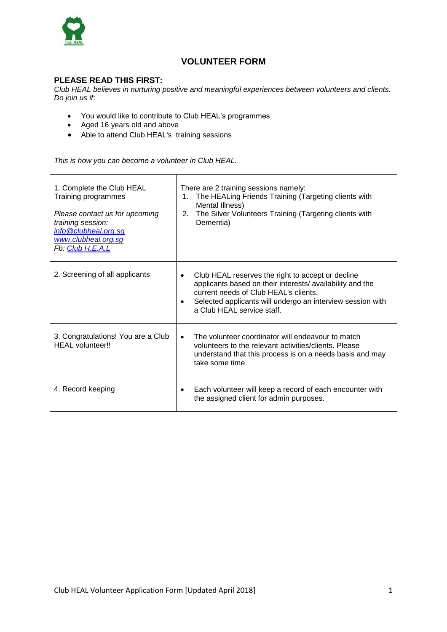

# **VOLUNTEER FORM**

# **PLEASE READ THIS FIRST:**

*Club HEAL believes in nurturing positive and meaningful experiences between volunteers and clients. Do join us if*:

- You would like to contribute to Club HEAL's programmes
- Aged 16 years old and above
- Able to attend Club HEAL's training sessions

*This is how you can become a volunteer in Club HEAL.*

| 1. Complete the Club HEAL<br>Training programmes<br>Please contact us for upcoming<br>training session:<br>info@clubheal.org.sg<br>www.clubheal.org.sg<br>Fb: Club H.E.A.L | There are 2 training sessions namely:<br>The HEALing Friends Training (Targeting clients with<br>1.<br>Mental Illness)<br>The Silver Volunteers Training (Targeting clients with<br>2.<br>Dementia)                                                                          |
|----------------------------------------------------------------------------------------------------------------------------------------------------------------------------|------------------------------------------------------------------------------------------------------------------------------------------------------------------------------------------------------------------------------------------------------------------------------|
| 2. Screening of all applicants                                                                                                                                             | Club HEAL reserves the right to accept or decline<br>$\bullet$<br>applicants based on their interests/availability and the<br>current needs of Club HEAL's clients.<br>Selected applicants will undergo an interview session with<br>$\bullet$<br>a Club HEAL service staff. |
| 3. Congratulations! You are a Club<br>HEAL volunteer!!                                                                                                                     | The volunteer coordinator will endeavour to match<br>$\bullet$<br>volunteers to the relevant activities/clients. Please<br>understand that this process is on a needs basis and may<br>take some time.                                                                       |
| 4. Record keeping                                                                                                                                                          | Each volunteer will keep a record of each encounter with<br>٠<br>the assigned client for admin purposes.                                                                                                                                                                     |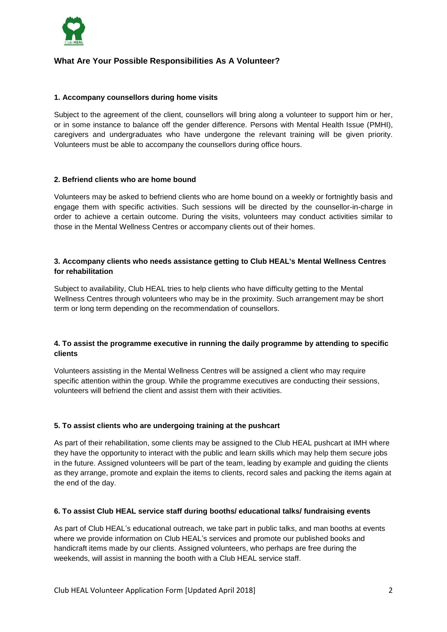

# **What Are Your Possible Responsibilities As A Volunteer?**

#### **1. Accompany counsellors during home visits**

Subject to the agreement of the client, counsellors will bring along a volunteer to support him or her, or in some instance to balance off the gender difference. Persons with Mental Health Issue (PMHI), caregivers and undergraduates who have undergone the relevant training will be given priority. Volunteers must be able to accompany the counsellors during office hours.

#### **2. Befriend clients who are home bound**

Volunteers may be asked to befriend clients who are home bound on a weekly or fortnightly basis and engage them with specific activities. Such sessions will be directed by the counsellor-in-charge in order to achieve a certain outcome. During the visits, volunteers may conduct activities similar to those in the Mental Wellness Centres or accompany clients out of their homes.

### **3. Accompany clients who needs assistance getting to Club HEAL's Mental Wellness Centres for rehabilitation**

Subject to availability, Club HEAL tries to help clients who have difficulty getting to the Mental Wellness Centres through volunteers who may be in the proximity. Such arrangement may be short term or long term depending on the recommendation of counsellors.

## **4. To assist the programme executive in running the daily programme by attending to specific clients**

Volunteers assisting in the Mental Wellness Centres will be assigned a client who may require specific attention within the group. While the programme executives are conducting their sessions, volunteers will befriend the client and assist them with their activities.

### **5. To assist clients who are undergoing training at the pushcart**

As part of their rehabilitation, some clients may be assigned to the Club HEAL pushcart at IMH where they have the opportunity to interact with the public and learn skills which may help them secure jobs in the future. Assigned volunteers will be part of the team, leading by example and guiding the clients as they arrange, promote and explain the items to clients, record sales and packing the items again at the end of the day.

#### **6. To assist Club HEAL service staff during booths/ educational talks/ fundraising events**

As part of Club HEAL's educational outreach, we take part in public talks, and man booths at events where we provide information on Club HEAL's services and promote our published books and handicraft items made by our clients. Assigned volunteers, who perhaps are free during the weekends, will assist in manning the booth with a Club HEAL service staff.